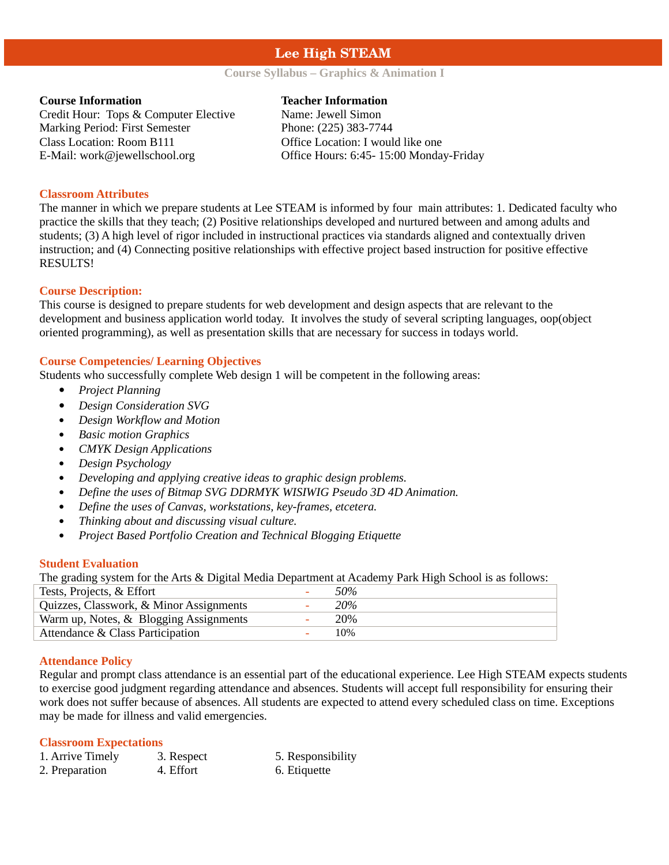# **Lee High STEAM**

# **Course Syllabus – Graphics & Animation I**

Credit Hour: Tops & Computer Elective Name: Jewell Simon Marking Period: First Semester Phone: (225) 383-7744 Class Location: Room B111 Office Location: I would like one

#### **Course Information Teacher Information**

E-Mail: work@jewellschool.org Office Hours: 6:45- 15:00 Monday-Friday

# **Classroom Attributes**

The manner in which we prepare students at Lee STEAM is informed by four main attributes: 1. Dedicated faculty who practice the skills that they teach; (2) Positive relationships developed and nurtured between and among adults and students; (3) A high level of rigor included in instructional practices via standards aligned and contextually driven instruction; and (4) Connecting positive relationships with effective project based instruction for positive effective RESULTS!

# **Course Description:**

This course is designed to prepare students for web development and design aspects that are relevant to the development and business application world today. It involves the study of several scripting languages, oop(object oriented programming), as well as presentation skills that are necessary for success in todays world.

# **Course Competencies/ Learning Objectives**

Students who successfully complete Web design 1 will be competent in the following areas:

- *Project Planning*
- *Design Consideration SVG*
- *Design Workflow and Motion*
- *Basic motion Graphics*
- *CMYK Design Applications*
- *Design Psychology*
- *Developing and applying creative ideas to graphic design problems.*
- *Define the uses of Bitmap SVG DDRMYK WISIWIG Pseudo 3D 4D Animation.*
- *Define the uses of Canvas, workstations, key-frames, etcetera.*
- *Thinking about and discussing visual culture.*
- *Project Based Portfolio Creation and Technical Blogging Etiquette*

#### **Student Evaluation**

The grading system for the Arts & Digital Media Department at Academy Park High School is as follows:

| Tests, Projects, & Effort               | 50%        |
|-----------------------------------------|------------|
| Quizzes, Classwork, & Minor Assignments | 20%        |
| Warm up, Notes, & Blogging Assignments  | <b>20%</b> |
| Attendance & Class Participation        | 10%        |

#### **Attendance Policy**

Regular and prompt class attendance is an essential part of the educational experience. Lee High STEAM expects students to exercise good judgment regarding attendance and absences. Students will accept full responsibility for ensuring their work does not suffer because of absences. All students are expected to attend every scheduled class on time. Exceptions may be made for illness and valid emergencies.

#### **Classroom Expectations**

| 1. Arrive Timely | 3. Respect | 5. Responsibility |
|------------------|------------|-------------------|
| 2. Preparation   | 4. Effort  | 6. Etiquette      |